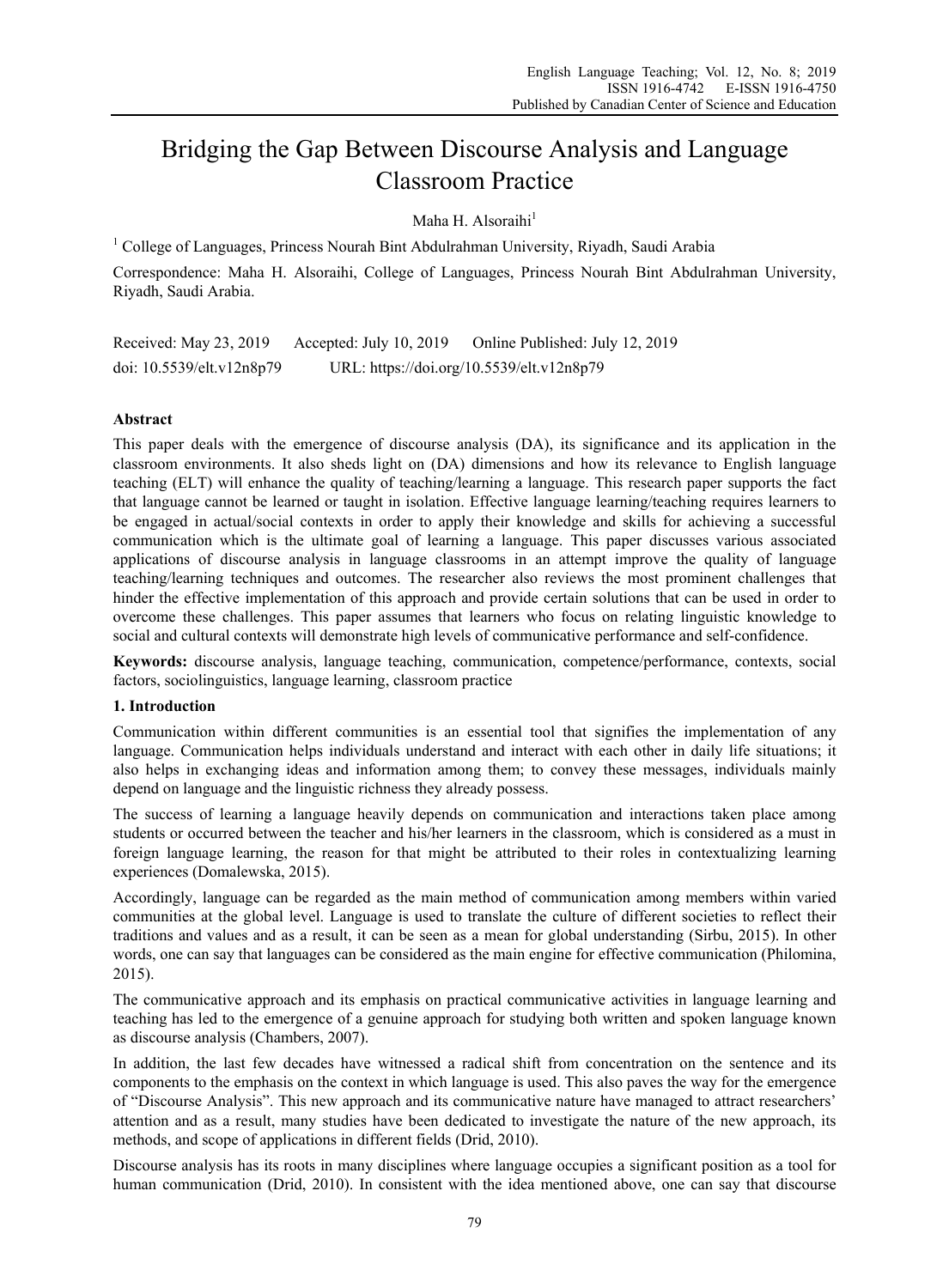# Bridging the Gap Between Discourse Analysis and Language Classroom Practice

Maha H. Alsoraihi $<sup>1</sup>$ </sup>

<sup>1</sup> College of Languages, Princess Nourah Bint Abdulrahman University, Riyadh, Saudi Arabia Correspondence: Maha H. Alsoraihi, College of Languages, Princess Nourah Bint Abdulrahman University, Riyadh, Saudi Arabia.

Received: May 23, 2019 Accepted: July 10, 2019 Online Published: July 12, 2019 doi: 10.5539/elt.v12n8p79 URL: https://doi.org/10.5539/elt.v12n8p79

## **Abstract**

This paper deals with the emergence of discourse analysis (DA), its significance and its application in the classroom environments. It also sheds light on (DA) dimensions and how its relevance to English language teaching (ELT) will enhance the quality of teaching/learning a language. This research paper supports the fact that language cannot be learned or taught in isolation. Effective language learning/teaching requires learners to be engaged in actual/social contexts in order to apply their knowledge and skills for achieving a successful communication which is the ultimate goal of learning a language. This paper discusses various associated applications of discourse analysis in language classrooms in an attempt improve the quality of language teaching/learning techniques and outcomes. The researcher also reviews the most prominent challenges that hinder the effective implementation of this approach and provide certain solutions that can be used in order to overcome these challenges. This paper assumes that learners who focus on relating linguistic knowledge to social and cultural contexts will demonstrate high levels of communicative performance and self-confidence.

**Keywords:** discourse analysis, language teaching, communication, competence/performance, contexts, social factors, sociolinguistics, language learning, classroom practice

# **1. Introduction**

Communication within different communities is an essential tool that signifies the implementation of any language. Communication helps individuals understand and interact with each other in daily life situations; it also helps in exchanging ideas and information among them; to convey these messages, individuals mainly depend on language and the linguistic richness they already possess.

The success of learning a language heavily depends on communication and interactions taken place among students or occurred between the teacher and his/her learners in the classroom, which is considered as a must in foreign language learning, the reason for that might be attributed to their roles in contextualizing learning experiences (Domalewska, 2015).

Accordingly, language can be regarded as the main method of communication among members within varied communities at the global level. Language is used to translate the culture of different societies to reflect their traditions and values and as a result, it can be seen as a mean for global understanding (Sirbu, 2015). In other words, one can say that languages can be considered as the main engine for effective communication (Philomina, 2015).

The communicative approach and its emphasis on practical communicative activities in language learning and teaching has led to the emergence of a genuine approach for studying both written and spoken language known as discourse analysis (Chambers, 2007).

In addition, the last few decades have witnessed a radical shift from concentration on the sentence and its components to the emphasis on the context in which language is used. This also paves the way for the emergence of "Discourse Analysis". This new approach and its communicative nature have managed to attract researchers' attention and as a result, many studies have been dedicated to investigate the nature of the new approach, its methods, and scope of applications in different fields (Drid, 2010).

Discourse analysis has its roots in many disciplines where language occupies a significant position as a tool for human communication (Drid, 2010). In consistent with the idea mentioned above, one can say that discourse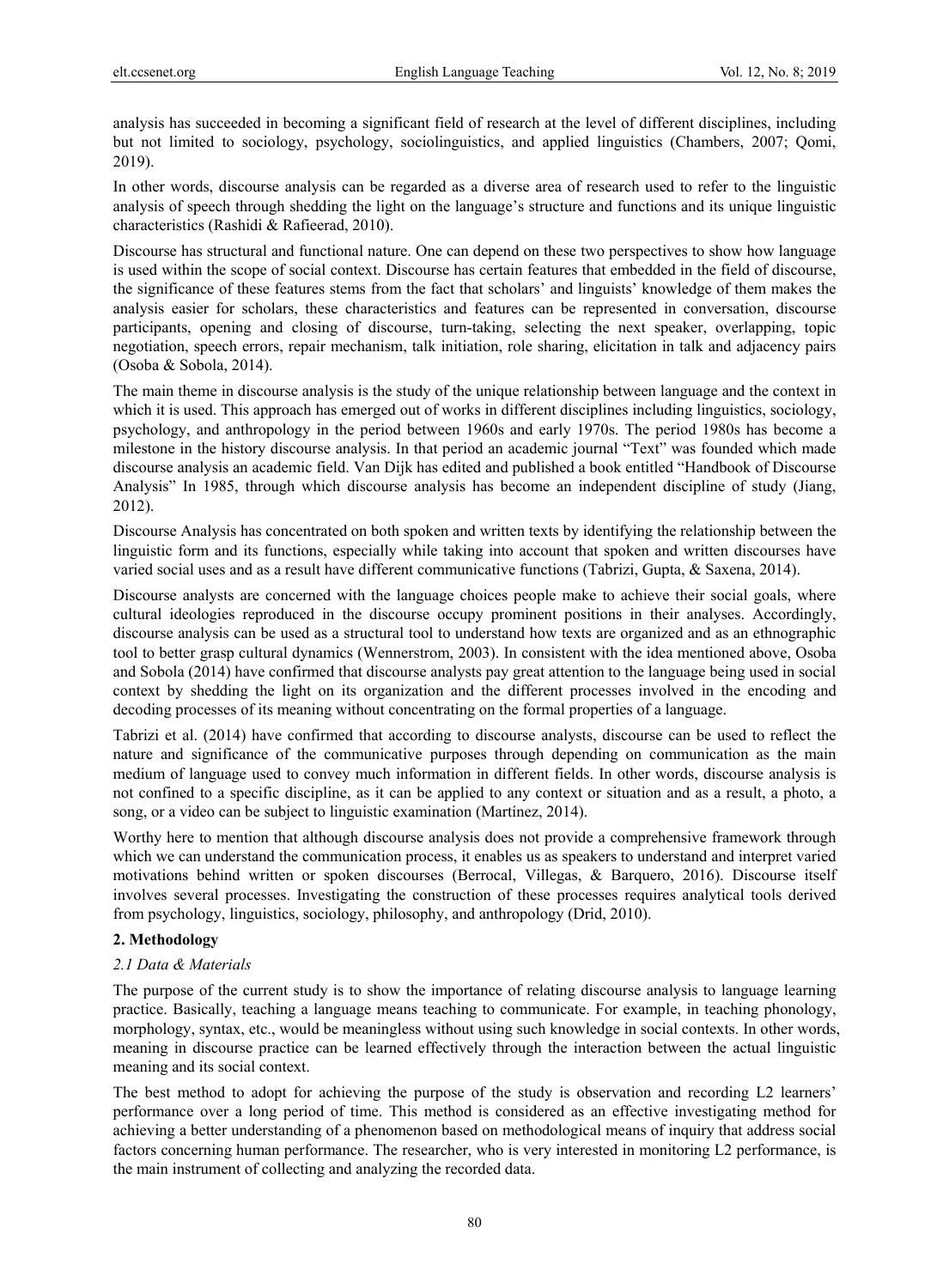analysis has succeeded in becoming a significant field of research at the level of different disciplines, including but not limited to sociology, psychology, sociolinguistics, and applied linguistics (Chambers, 2007; Qomi, 2019).

In other words, discourse analysis can be regarded as a diverse area of research used to refer to the linguistic analysis of speech through shedding the light on the language's structure and functions and its unique linguistic characteristics (Rashidi & Rafieerad, 2010).

Discourse has structural and functional nature. One can depend on these two perspectives to show how language is used within the scope of social context. Discourse has certain features that embedded in the field of discourse, the significance of these features stems from the fact that scholars' and linguists' knowledge of them makes the analysis easier for scholars, these characteristics and features can be represented in conversation, discourse participants, opening and closing of discourse, turn-taking, selecting the next speaker, overlapping, topic negotiation, speech errors, repair mechanism, talk initiation, role sharing, elicitation in talk and adjacency pairs (Osoba & Sobola, 2014).

The main theme in discourse analysis is the study of the unique relationship between language and the context in which it is used. This approach has emerged out of works in different disciplines including linguistics, sociology, psychology, and anthropology in the period between 1960s and early 1970s. The period 1980s has become a milestone in the history discourse analysis. In that period an academic journal "Text" was founded which made discourse analysis an academic field. Van Dijk has edited and published a book entitled "Handbook of Discourse Analysis" In 1985, through which discourse analysis has become an independent discipline of study (Jiang, 2012).

Discourse Analysis has concentrated on both spoken and written texts by identifying the relationship between the linguistic form and its functions, especially while taking into account that spoken and written discourses have varied social uses and as a result have different communicative functions (Tabrizi, Gupta, & Saxena, 2014).

Discourse analysts are concerned with the language choices people make to achieve their social goals, where cultural ideologies reproduced in the discourse occupy prominent positions in their analyses. Accordingly, discourse analysis can be used as a structural tool to understand how texts are organized and as an ethnographic tool to better grasp cultural dynamics (Wennerstrom, 2003). In consistent with the idea mentioned above, Osoba and Sobola (2014) have confirmed that discourse analysts pay great attention to the language being used in social context by shedding the light on its organization and the different processes involved in the encoding and decoding processes of its meaning without concentrating on the formal properties of a language.

Tabrizi et al. (2014) have confirmed that according to discourse analysts, discourse can be used to reflect the nature and significance of the communicative purposes through depending on communication as the main medium of language used to convey much information in different fields. In other words, discourse analysis is not confined to a specific discipline, as it can be applied to any context or situation and as a result, a photo, a song, or a video can be subject to linguistic examination (Martínez, 2014).

Worthy here to mention that although discourse analysis does not provide a comprehensive framework through which we can understand the communication process, it enables us as speakers to understand and interpret varied motivations behind written or spoken discourses (Berrocal, Villegas, & Barquero, 2016). Discourse itself involves several processes. Investigating the construction of these processes requires analytical tools derived from psychology, linguistics, sociology, philosophy, and anthropology (Drid, 2010).

## **2. Methodology**

## *2.1 Data & Materials*

The purpose of the current study is to show the importance of relating discourse analysis to language learning practice. Basically, teaching a language means teaching to communicate. For example, in teaching phonology, morphology, syntax, etc., would be meaningless without using such knowledge in social contexts. In other words, meaning in discourse practice can be learned effectively through the interaction between the actual linguistic meaning and its social context.

The best method to adopt for achieving the purpose of the study is observation and recording L2 learners' performance over a long period of time. This method is considered as an effective investigating method for achieving a better understanding of a phenomenon based on methodological means of inquiry that address social factors concerning human performance. The researcher, who is very interested in monitoring L2 performance, is the main instrument of collecting and analyzing the recorded data.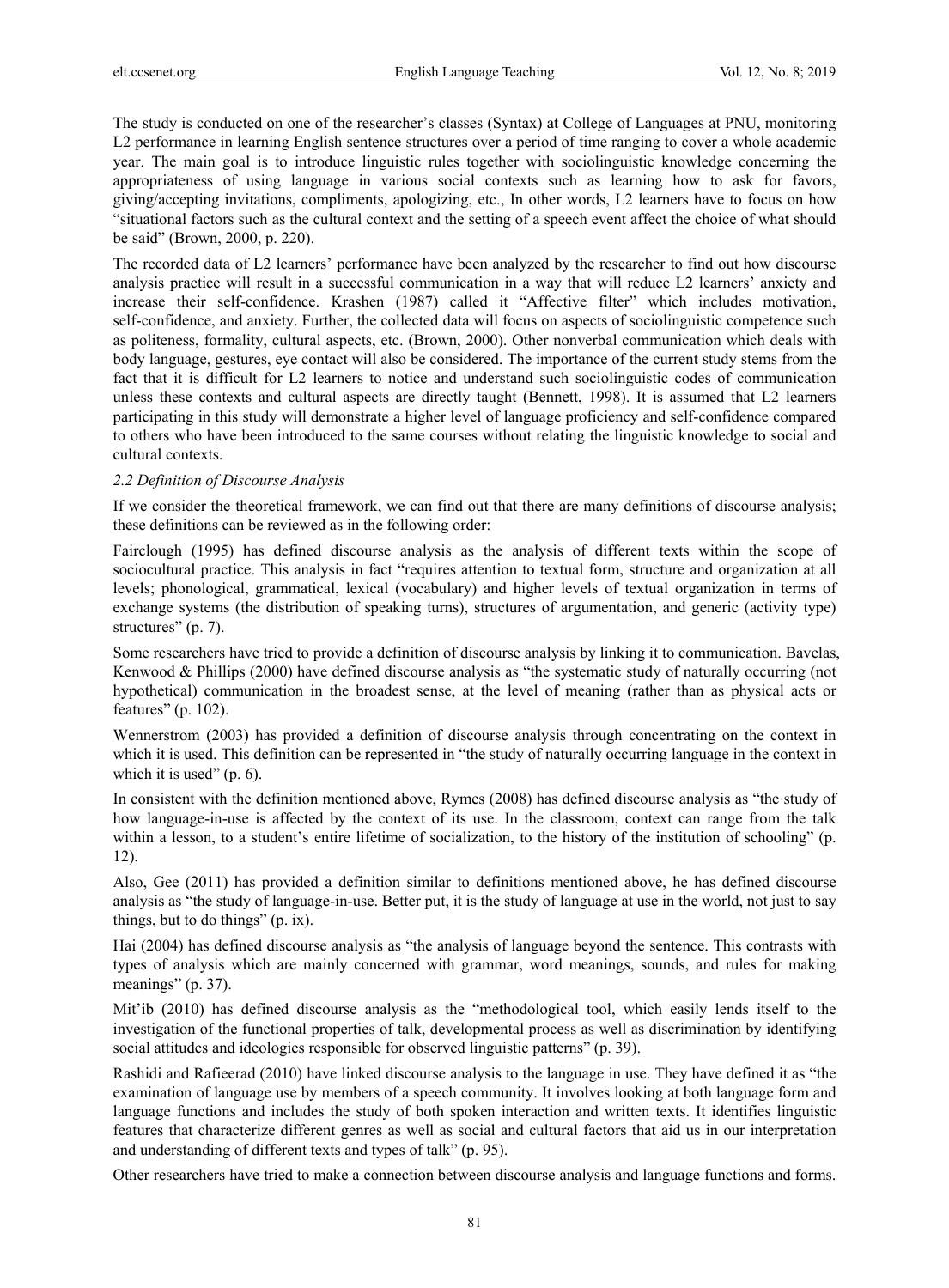The study is conducted on one of the researcher's classes (Syntax) at College of Languages at PNU, monitoring L2 performance in learning English sentence structures over a period of time ranging to cover a whole academic year. The main goal is to introduce linguistic rules together with sociolinguistic knowledge concerning the appropriateness of using language in various social contexts such as learning how to ask for favors, giving/accepting invitations, compliments, apologizing, etc., In other words, L2 learners have to focus on how "situational factors such as the cultural context and the setting of a speech event affect the choice of what should be said" (Brown, 2000, p. 220).

The recorded data of L2 learners' performance have been analyzed by the researcher to find out how discourse analysis practice will result in a successful communication in a way that will reduce L2 learners' anxiety and increase their self-confidence. Krashen (1987) called it "Affective filter" which includes motivation, self-confidence, and anxiety. Further, the collected data will focus on aspects of sociolinguistic competence such as politeness, formality, cultural aspects, etc. (Brown, 2000). Other nonverbal communication which deals with body language, gestures, eye contact will also be considered. The importance of the current study stems from the fact that it is difficult for L2 learners to notice and understand such sociolinguistic codes of communication unless these contexts and cultural aspects are directly taught (Bennett, 1998). It is assumed that L2 learners participating in this study will demonstrate a higher level of language proficiency and self-confidence compared to others who have been introduced to the same courses without relating the linguistic knowledge to social and cultural contexts.

#### *2.2 Definition of Discourse Analysis*

If we consider the theoretical framework, we can find out that there are many definitions of discourse analysis; these definitions can be reviewed as in the following order:

Fairclough (1995) has defined discourse analysis as the analysis of different texts within the scope of sociocultural practice. This analysis in fact "requires attention to textual form, structure and organization at all levels; phonological, grammatical, lexical (vocabulary) and higher levels of textual organization in terms of exchange systems (the distribution of speaking turns), structures of argumentation, and generic (activity type) structures" (p. 7).

Some researchers have tried to provide a definition of discourse analysis by linking it to communication. Bavelas, Kenwood & Phillips (2000) have defined discourse analysis as "the systematic study of naturally occurring (not hypothetical) communication in the broadest sense, at the level of meaning (rather than as physical acts or features" (p. 102).

Wennerstrom (2003) has provided a definition of discourse analysis through concentrating on the context in which it is used. This definition can be represented in "the study of naturally occurring language in the context in which it is used"  $(p. 6)$ .

In consistent with the definition mentioned above, Rymes (2008) has defined discourse analysis as "the study of how language-in-use is affected by the context of its use. In the classroom, context can range from the talk within a lesson, to a student's entire lifetime of socialization, to the history of the institution of schooling" (p. 12).

Also, Gee (2011) has provided a definition similar to definitions mentioned above, he has defined discourse analysis as "the study of language-in-use. Better put, it is the study of language at use in the world, not just to say things, but to do things" (p. ix).

Hai (2004) has defined discourse analysis as "the analysis of language beyond the sentence. This contrasts with types of analysis which are mainly concerned with grammar, word meanings, sounds, and rules for making meanings" (p. 37).

Mit'ib (2010) has defined discourse analysis as the "methodological tool, which easily lends itself to the investigation of the functional properties of talk, developmental process as well as discrimination by identifying social attitudes and ideologies responsible for observed linguistic patterns" (p. 39).

Rashidi and Rafieerad (2010) have linked discourse analysis to the language in use. They have defined it as "the examination of language use by members of a speech community. It involves looking at both language form and language functions and includes the study of both spoken interaction and written texts. It identifies linguistic features that characterize different genres as well as social and cultural factors that aid us in our interpretation and understanding of different texts and types of talk" (p. 95).

Other researchers have tried to make a connection between discourse analysis and language functions and forms.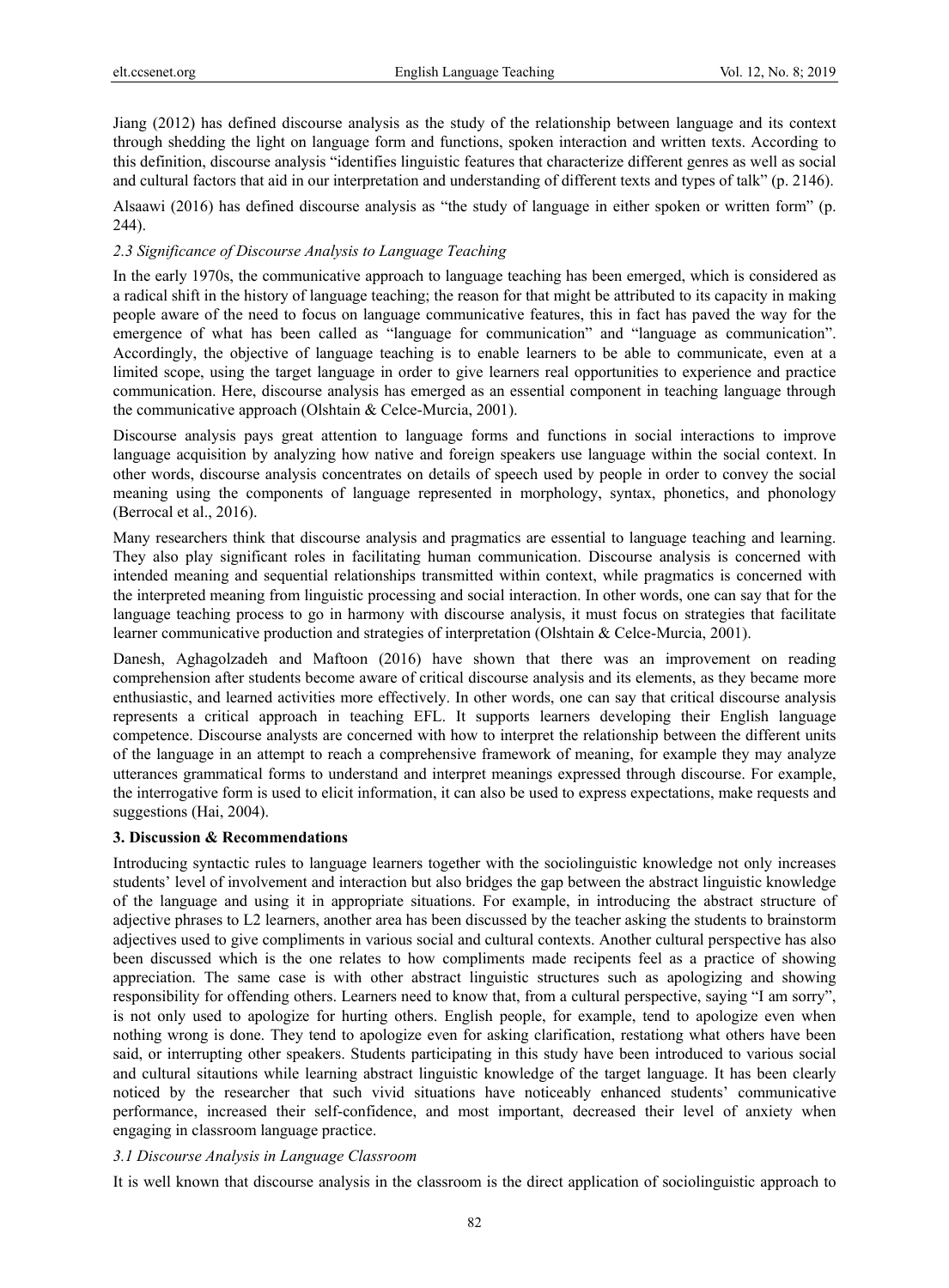Jiang (2012) has defined discourse analysis as the study of the relationship between language and its context through shedding the light on language form and functions, spoken interaction and written texts. According to this definition, discourse analysis "identifies linguistic features that characterize different genres as well as social and cultural factors that aid in our interpretation and understanding of different texts and types of talk" (p. 2146).

Alsaawi (2016) has defined discourse analysis as "the study of language in either spoken or written form" (p. 244).

#### *2.3 Significance of Discourse Analysis to Language Teaching*

In the early 1970s, the communicative approach to language teaching has been emerged, which is considered as a radical shift in the history of language teaching; the reason for that might be attributed to its capacity in making people aware of the need to focus on language communicative features, this in fact has paved the way for the emergence of what has been called as "language for communication" and "language as communication". Accordingly, the objective of language teaching is to enable learners to be able to communicate, even at a limited scope, using the target language in order to give learners real opportunities to experience and practice communication. Here, discourse analysis has emerged as an essential component in teaching language through the communicative approach (Olshtain & Celce-Murcia, 2001).

Discourse analysis pays great attention to language forms and functions in social interactions to improve language acquisition by analyzing how native and foreign speakers use language within the social context. In other words, discourse analysis concentrates on details of speech used by people in order to convey the social meaning using the components of language represented in morphology, syntax, phonetics, and phonology (Berrocal et al., 2016).

Many researchers think that discourse analysis and pragmatics are essential to language teaching and learning. They also play significant roles in facilitating human communication. Discourse analysis is concerned with intended meaning and sequential relationships transmitted within context, while pragmatics is concerned with the interpreted meaning from linguistic processing and social interaction. In other words, one can say that for the language teaching process to go in harmony with discourse analysis, it must focus on strategies that facilitate learner communicative production and strategies of interpretation (Olshtain & Celce-Murcia, 2001).

Danesh, Aghagolzadeh and Maftoon (2016) have shown that there was an improvement on reading comprehension after students become aware of critical discourse analysis and its elements, as they became more enthusiastic, and learned activities more effectively. In other words, one can say that critical discourse analysis represents a critical approach in teaching EFL. It supports learners developing their English language competence. Discourse analysts are concerned with how to interpret the relationship between the different units of the language in an attempt to reach a comprehensive framework of meaning, for example they may analyze utterances grammatical forms to understand and interpret meanings expressed through discourse. For example, the interrogative form is used to elicit information, it can also be used to express expectations, make requests and suggestions (Hai, 2004).

#### **3. Discussion & Recommendations**

Introducing syntactic rules to language learners together with the sociolinguistic knowledge not only increases students' level of involvement and interaction but also bridges the gap between the abstract linguistic knowledge of the language and using it in appropriate situations. For example, in introducing the abstract structure of adjective phrases to L2 learners, another area has been discussed by the teacher asking the students to brainstorm adjectives used to give compliments in various social and cultural contexts. Another cultural perspective has also been discussed which is the one relates to how compliments made recipents feel as a practice of showing appreciation. The same case is with other abstract linguistic structures such as apologizing and showing responsibility for offending others. Learners need to know that, from a cultural perspective, saying "I am sorry", is not only used to apologize for hurting others. English people, for example, tend to apologize even when nothing wrong is done. They tend to apologize even for asking clarification, restationg what others have been said, or interrupting other speakers. Students participating in this study have been introduced to various social and cultural sitautions while learning abstract linguistic knowledge of the target language. It has been clearly noticed by the researcher that such vivid situations have noticeably enhanced students' communicative performance, increased their self-confidence, and most important, decreased their level of anxiety when engaging in classroom language practice.

## *3.1 Discourse Analysis in Language Classroom*

It is well known that discourse analysis in the classroom is the direct application of sociolinguistic approach to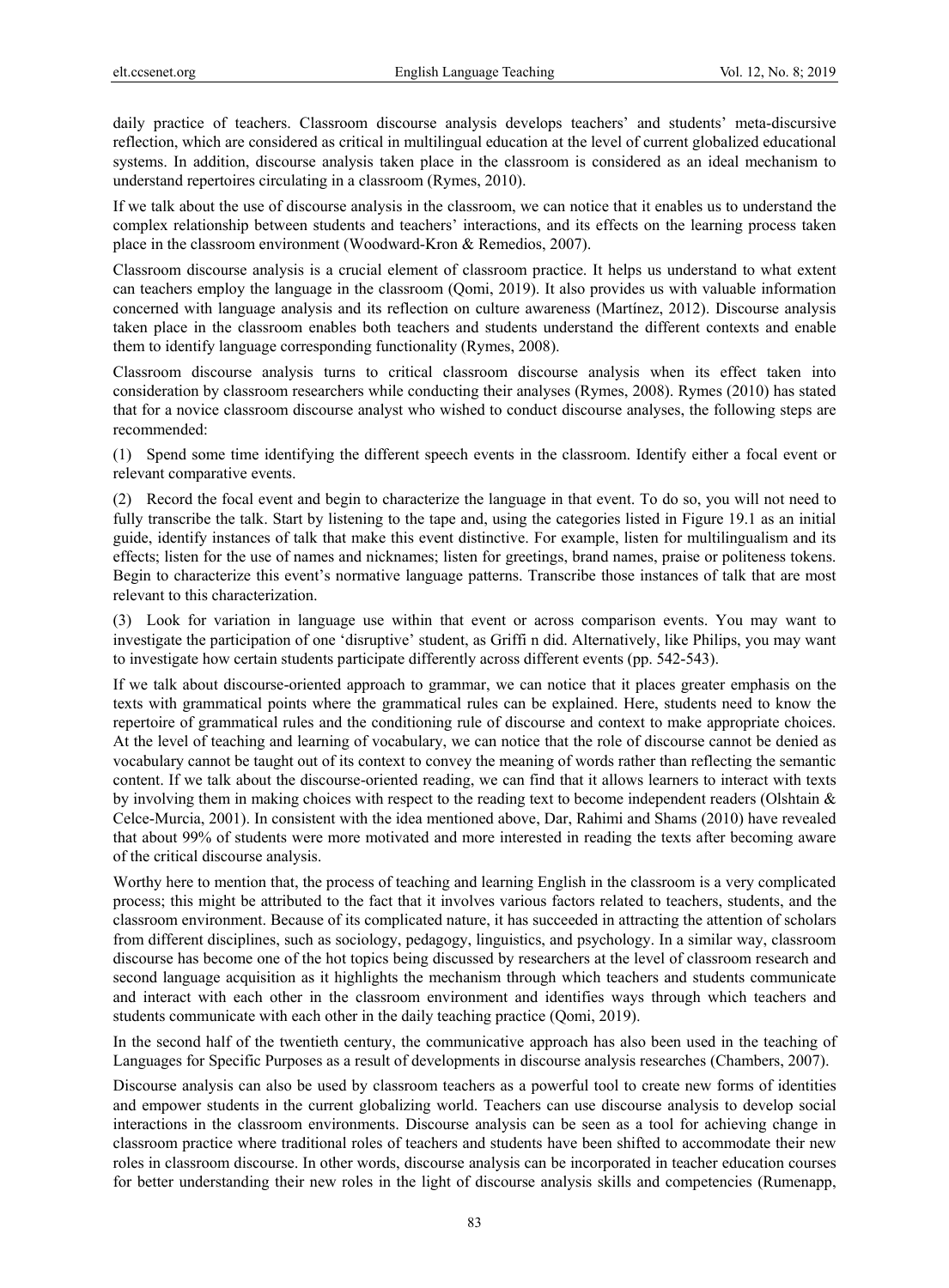daily practice of teachers. Classroom discourse analysis develops teachers' and students' meta-discursive reflection, which are considered as critical in multilingual education at the level of current globalized educational systems. In addition, discourse analysis taken place in the classroom is considered as an ideal mechanism to understand repertoires circulating in a classroom (Rymes, 2010).

If we talk about the use of discourse analysis in the classroom, we can notice that it enables us to understand the complex relationship between students and teachers' interactions, and its effects on the learning process taken place in the classroom environment (Woodward-Kron & Remedios, 2007).

Classroom discourse analysis is a crucial element of classroom practice. It helps us understand to what extent can teachers employ the language in the classroom (Qomi, 2019). It also provides us with valuable information concerned with language analysis and its reflection on culture awareness (Martínez, 2012). Discourse analysis taken place in the classroom enables both teachers and students understand the different contexts and enable them to identify language corresponding functionality (Rymes, 2008).

Classroom discourse analysis turns to critical classroom discourse analysis when its effect taken into consideration by classroom researchers while conducting their analyses (Rymes, 2008). Rymes (2010) has stated that for a novice classroom discourse analyst who wished to conduct discourse analyses, the following steps are recommended:

(1) Spend some time identifying the different speech events in the classroom. Identify either a focal event or relevant comparative events.

(2) Record the focal event and begin to characterize the language in that event. To do so, you will not need to fully transcribe the talk. Start by listening to the tape and, using the categories listed in Figure 19.1 as an initial guide, identify instances of talk that make this event distinctive. For example, listen for multilingualism and its effects; listen for the use of names and nicknames; listen for greetings, brand names, praise or politeness tokens. Begin to characterize this event's normative language patterns. Transcribe those instances of talk that are most relevant to this characterization.

(3) Look for variation in language use within that event or across comparison events. You may want to investigate the participation of one 'disruptive' student, as Griffi n did. Alternatively, like Philips, you may want to investigate how certain students participate differently across different events (pp. 542-543).

If we talk about discourse-oriented approach to grammar, we can notice that it places greater emphasis on the texts with grammatical points where the grammatical rules can be explained. Here, students need to know the repertoire of grammatical rules and the conditioning rule of discourse and context to make appropriate choices. At the level of teaching and learning of vocabulary, we can notice that the role of discourse cannot be denied as vocabulary cannot be taught out of its context to convey the meaning of words rather than reflecting the semantic content. If we talk about the discourse-oriented reading, we can find that it allows learners to interact with texts by involving them in making choices with respect to the reading text to become independent readers (Olshtain & Celce-Murcia, 2001). In consistent with the idea mentioned above, Dar, Rahimi and Shams (2010) have revealed that about 99% of students were more motivated and more interested in reading the texts after becoming aware of the critical discourse analysis.

Worthy here to mention that, the process of teaching and learning English in the classroom is a very complicated process; this might be attributed to the fact that it involves various factors related to teachers, students, and the classroom environment. Because of its complicated nature, it has succeeded in attracting the attention of scholars from different disciplines, such as sociology, pedagogy, linguistics, and psychology. In a similar way, classroom discourse has become one of the hot topics being discussed by researchers at the level of classroom research and second language acquisition as it highlights the mechanism through which teachers and students communicate and interact with each other in the classroom environment and identifies ways through which teachers and students communicate with each other in the daily teaching practice (Qomi, 2019).

In the second half of the twentieth century, the communicative approach has also been used in the teaching of Languages for Specific Purposes as a result of developments in discourse analysis researches (Chambers, 2007).

Discourse analysis can also be used by classroom teachers as a powerful tool to create new forms of identities and empower students in the current globalizing world. Teachers can use discourse analysis to develop social interactions in the classroom environments. Discourse analysis can be seen as a tool for achieving change in classroom practice where traditional roles of teachers and students have been shifted to accommodate their new roles in classroom discourse. In other words, discourse analysis can be incorporated in teacher education courses for better understanding their new roles in the light of discourse analysis skills and competencies (Rumenapp,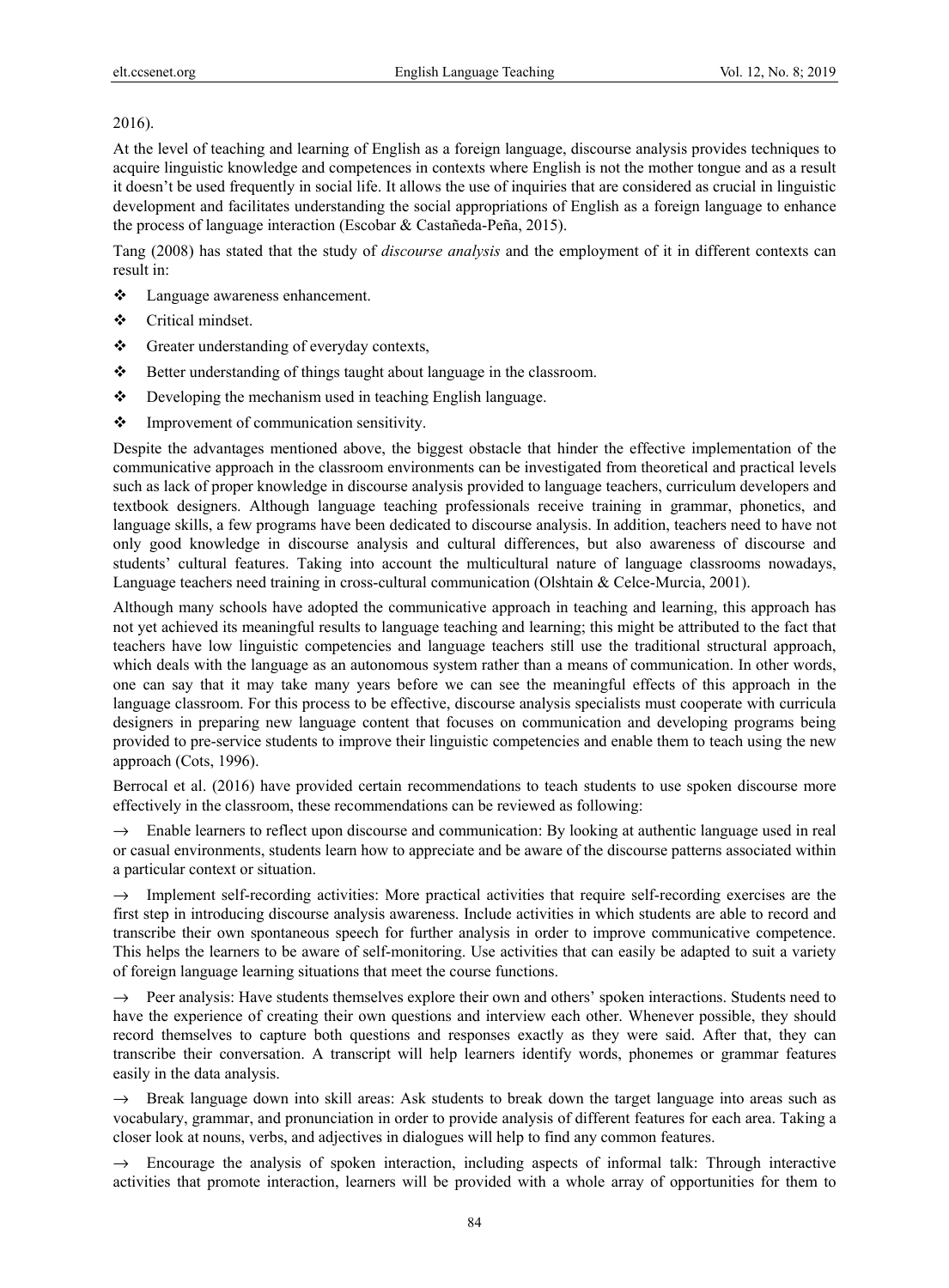## 2016).

At the level of teaching and learning of English as a foreign language, discourse analysis provides techniques to acquire linguistic knowledge and competences in contexts where English is not the mother tongue and as a result it doesn't be used frequently in social life. It allows the use of inquiries that are considered as crucial in linguistic development and facilitates understanding the social appropriations of English as a foreign language to enhance the process of language interaction (Escobar & Castañeda-Peña, 2015).

Tang (2008) has stated that the study of *discourse analysis* and the employment of it in different contexts can result in:

- Language awareness enhancement.
- ❖ Critical mindset.
- Greater understanding of everyday contexts,
- Better understanding of things taught about language in the classroom.
- ◆ Developing the mechanism used in teaching English language.
- $\triangleleft$  Improvement of communication sensitivity.

Despite the advantages mentioned above, the biggest obstacle that hinder the effective implementation of the communicative approach in the classroom environments can be investigated from theoretical and practical levels such as lack of proper knowledge in discourse analysis provided to language teachers, curriculum developers and textbook designers. Although language teaching professionals receive training in grammar, phonetics, and language skills, a few programs have been dedicated to discourse analysis. In addition, teachers need to have not only good knowledge in discourse analysis and cultural differences, but also awareness of discourse and students' cultural features. Taking into account the multicultural nature of language classrooms nowadays, Language teachers need training in cross-cultural communication (Olshtain & Celce-Murcia, 2001).

Although many schools have adopted the communicative approach in teaching and learning, this approach has not yet achieved its meaningful results to language teaching and learning; this might be attributed to the fact that teachers have low linguistic competencies and language teachers still use the traditional structural approach, which deals with the language as an autonomous system rather than a means of communication. In other words, one can say that it may take many years before we can see the meaningful effects of this approach in the language classroom. For this process to be effective, discourse analysis specialists must cooperate with curricula designers in preparing new language content that focuses on communication and developing programs being provided to pre-service students to improve their linguistic competencies and enable them to teach using the new approach (Cots, 1996).

Berrocal et al. (2016) have provided certain recommendations to teach students to use spoken discourse more effectively in the classroom, these recommendations can be reviewed as following:

 $\rightarrow$  Enable learners to reflect upon discourse and communication: By looking at authentic language used in real or casual environments, students learn how to appreciate and be aware of the discourse patterns associated within a particular context or situation.

 $\rightarrow$  Implement self-recording activities: More practical activities that require self-recording exercises are the first step in introducing discourse analysis awareness. Include activities in which students are able to record and transcribe their own spontaneous speech for further analysis in order to improve communicative competence. This helps the learners to be aware of self-monitoring. Use activities that can easily be adapted to suit a variety of foreign language learning situations that meet the course functions.

→ Peer analysis: Have students themselves explore their own and others' spoken interactions. Students need to have the experience of creating their own questions and interview each other. Whenever possible, they should record themselves to capture both questions and responses exactly as they were said. After that, they can transcribe their conversation. A transcript will help learners identify words, phonemes or grammar features easily in the data analysis.

 $\rightarrow$  Break language down into skill areas: Ask students to break down the target language into areas such as vocabulary, grammar, and pronunciation in order to provide analysis of different features for each area. Taking a closer look at nouns, verbs, and adjectives in dialogues will help to find any common features.

 $\rightarrow$  Encourage the analysis of spoken interaction, including aspects of informal talk: Through interactive activities that promote interaction, learners will be provided with a whole array of opportunities for them to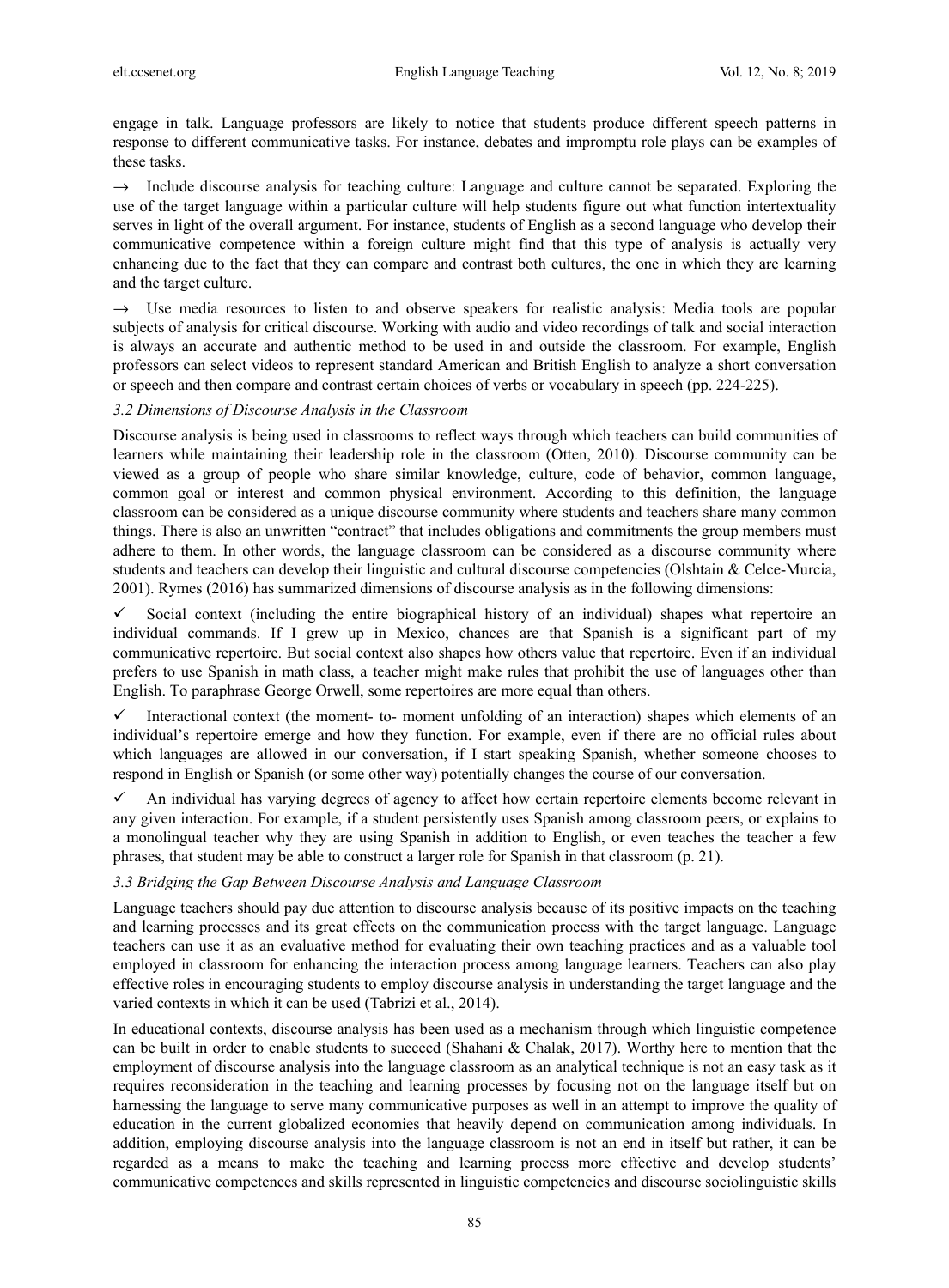engage in talk. Language professors are likely to notice that students produce different speech patterns in response to different communicative tasks. For instance, debates and impromptu role plays can be examples of these tasks.

 $\rightarrow$  Include discourse analysis for teaching culture: Language and culture cannot be separated. Exploring the use of the target language within a particular culture will help students figure out what function intertextuality serves in light of the overall argument. For instance, students of English as a second language who develop their communicative competence within a foreign culture might find that this type of analysis is actually very enhancing due to the fact that they can compare and contrast both cultures, the one in which they are learning and the target culture.

Use media resources to listen to and observe speakers for realistic analysis: Media tools are popular subjects of analysis for critical discourse. Working with audio and video recordings of talk and social interaction is always an accurate and authentic method to be used in and outside the classroom. For example, English professors can select videos to represent standard American and British English to analyze a short conversation or speech and then compare and contrast certain choices of verbs or vocabulary in speech (pp. 224-225).

#### *3.2 Dimensions of Discourse Analysis in the Classroom*

Discourse analysis is being used in classrooms to reflect ways through which teachers can build communities of learners while maintaining their leadership role in the classroom (Otten, 2010). Discourse community can be viewed as a group of people who share similar knowledge, culture, code of behavior, common language, common goal or interest and common physical environment. According to this definition, the language classroom can be considered as a unique discourse community where students and teachers share many common things. There is also an unwritten "contract" that includes obligations and commitments the group members must adhere to them. In other words, the language classroom can be considered as a discourse community where students and teachers can develop their linguistic and cultural discourse competencies (Olshtain & Celce-Murcia, 2001). Rymes (2016) has summarized dimensions of discourse analysis as in the following dimensions:

 $\checkmark$  Social context (including the entire biographical history of an individual) shapes what repertoire an individual commands. If I grew up in Mexico, chances are that Spanish is a significant part of my communicative repertoire. But social context also shapes how others value that repertoire. Even if an individual prefers to use Spanish in math class, a teacher might make rules that prohibit the use of languages other than English. To paraphrase George Orwell, some repertoires are more equal than others.

Interactional context (the moment- to- moment unfolding of an interaction) shapes which elements of an individual's repertoire emerge and how they function. For example, even if there are no official rules about which languages are allowed in our conversation, if I start speaking Spanish, whether someone chooses to respond in English or Spanish (or some other way) potentially changes the course of our conversation.

 $\checkmark$  An individual has varying degrees of agency to affect how certain repertoire elements become relevant in any given interaction. For example, if a student persistently uses Spanish among classroom peers, or explains to a monolingual teacher why they are using Spanish in addition to English, or even teaches the teacher a few phrases, that student may be able to construct a larger role for Spanish in that classroom (p. 21).

## *3.3 Bridging the Gap Between Discourse Analysis and Language Classroom*

Language teachers should pay due attention to discourse analysis because of its positive impacts on the teaching and learning processes and its great effects on the communication process with the target language. Language teachers can use it as an evaluative method for evaluating their own teaching practices and as a valuable tool employed in classroom for enhancing the interaction process among language learners. Teachers can also play effective roles in encouraging students to employ discourse analysis in understanding the target language and the varied contexts in which it can be used (Tabrizi et al., 2014).

In educational contexts, discourse analysis has been used as a mechanism through which linguistic competence can be built in order to enable students to succeed (Shahani & Chalak, 2017). Worthy here to mention that the employment of discourse analysis into the language classroom as an analytical technique is not an easy task as it requires reconsideration in the teaching and learning processes by focusing not on the language itself but on harnessing the language to serve many communicative purposes as well in an attempt to improve the quality of education in the current globalized economies that heavily depend on communication among individuals. In addition, employing discourse analysis into the language classroom is not an end in itself but rather, it can be regarded as a means to make the teaching and learning process more effective and develop students' communicative competences and skills represented in linguistic competencies and discourse sociolinguistic skills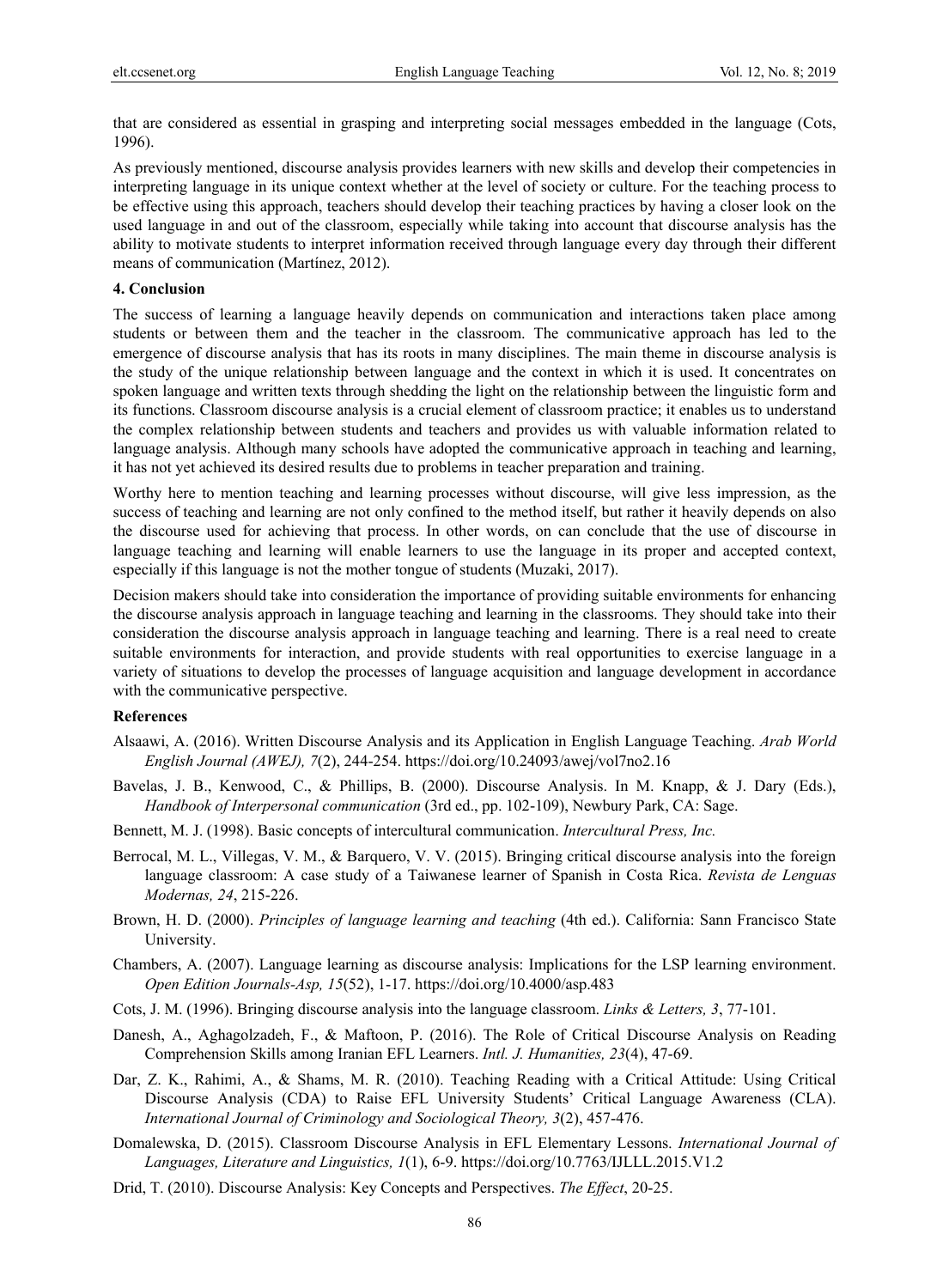that are considered as essential in grasping and interpreting social messages embedded in the language (Cots, 1996).

As previously mentioned, discourse analysis provides learners with new skills and develop their competencies in interpreting language in its unique context whether at the level of society or culture. For the teaching process to be effective using this approach, teachers should develop their teaching practices by having a closer look on the used language in and out of the classroom, especially while taking into account that discourse analysis has the ability to motivate students to interpret information received through language every day through their different means of communication (Martínez, 2012).

#### **4. Conclusion**

The success of learning a language heavily depends on communication and interactions taken place among students or between them and the teacher in the classroom. The communicative approach has led to the emergence of discourse analysis that has its roots in many disciplines. The main theme in discourse analysis is the study of the unique relationship between language and the context in which it is used. It concentrates on spoken language and written texts through shedding the light on the relationship between the linguistic form and its functions. Classroom discourse analysis is a crucial element of classroom practice; it enables us to understand the complex relationship between students and teachers and provides us with valuable information related to language analysis. Although many schools have adopted the communicative approach in teaching and learning, it has not yet achieved its desired results due to problems in teacher preparation and training.

Worthy here to mention teaching and learning processes without discourse, will give less impression, as the success of teaching and learning are not only confined to the method itself, but rather it heavily depends on also the discourse used for achieving that process. In other words, on can conclude that the use of discourse in language teaching and learning will enable learners to use the language in its proper and accepted context, especially if this language is not the mother tongue of students (Muzaki, 2017).

Decision makers should take into consideration the importance of providing suitable environments for enhancing the discourse analysis approach in language teaching and learning in the classrooms. They should take into their consideration the discourse analysis approach in language teaching and learning. There is a real need to create suitable environments for interaction, and provide students with real opportunities to exercise language in a variety of situations to develop the processes of language acquisition and language development in accordance with the communicative perspective.

#### **References**

- Alsaawi, A. (2016). Written Discourse Analysis and its Application in English Language Teaching. *Arab World English Journal (AWEJ), 7*(2), 244-254. https://doi.org/10.24093/awej/vol7no2.16
- Bavelas, J. B., Kenwood, C., & Phillips, B. (2000). Discourse Analysis. In M. Knapp, & J. Dary (Eds.), *Handbook of Interpersonal communication* (3rd ed., pp. 102-109), Newbury Park, CA: Sage.
- Bennett, M. J. (1998). Basic concepts of intercultural communication. *Intercultural Press, Inc.*
- Berrocal, M. L., Villegas, V. M., & Barquero, V. V. (2015). Bringing critical discourse analysis into the foreign language classroom: A case study of a Taiwanese learner of Spanish in Costa Rica. *Revista de Lenguas Modernas, 24*, 215-226.
- Brown, H. D. (2000). *Principles of language learning and teaching* (4th ed.). California: Sann Francisco State University.
- Chambers, A. (2007). Language learning as discourse analysis: Implications for the LSP learning environment. *Open Edition Journals-Asp, 15*(52), 1-17. https://doi.org/10.4000/asp.483
- Cots, J. M. (1996). Bringing discourse analysis into the language classroom. *Links & Letters, 3*, 77-101.
- Danesh, A., Aghagolzadeh, F., & Maftoon, P. (2016). The Role of Critical Discourse Analysis on Reading Comprehension Skills among Iranian EFL Learners. *Intl. J. Humanities, 23*(4), 47-69.
- Dar, Z. K., Rahimi, A., & Shams, M. R. (2010). Teaching Reading with a Critical Attitude: Using Critical Discourse Analysis (CDA) to Raise EFL University Students' Critical Language Awareness (CLA). *International Journal of Criminology and Sociological Theory, 3*(2), 457-476.
- Domalewska, D. (2015). Classroom Discourse Analysis in EFL Elementary Lessons. *International Journal of Languages, Literature and Linguistics, 1*(1), 6-9. https://doi.org/10.7763/IJLLL.2015.V1.2
- Drid, T. (2010). Discourse Analysis: Key Concepts and Perspectives. *The Effect*, 20-25.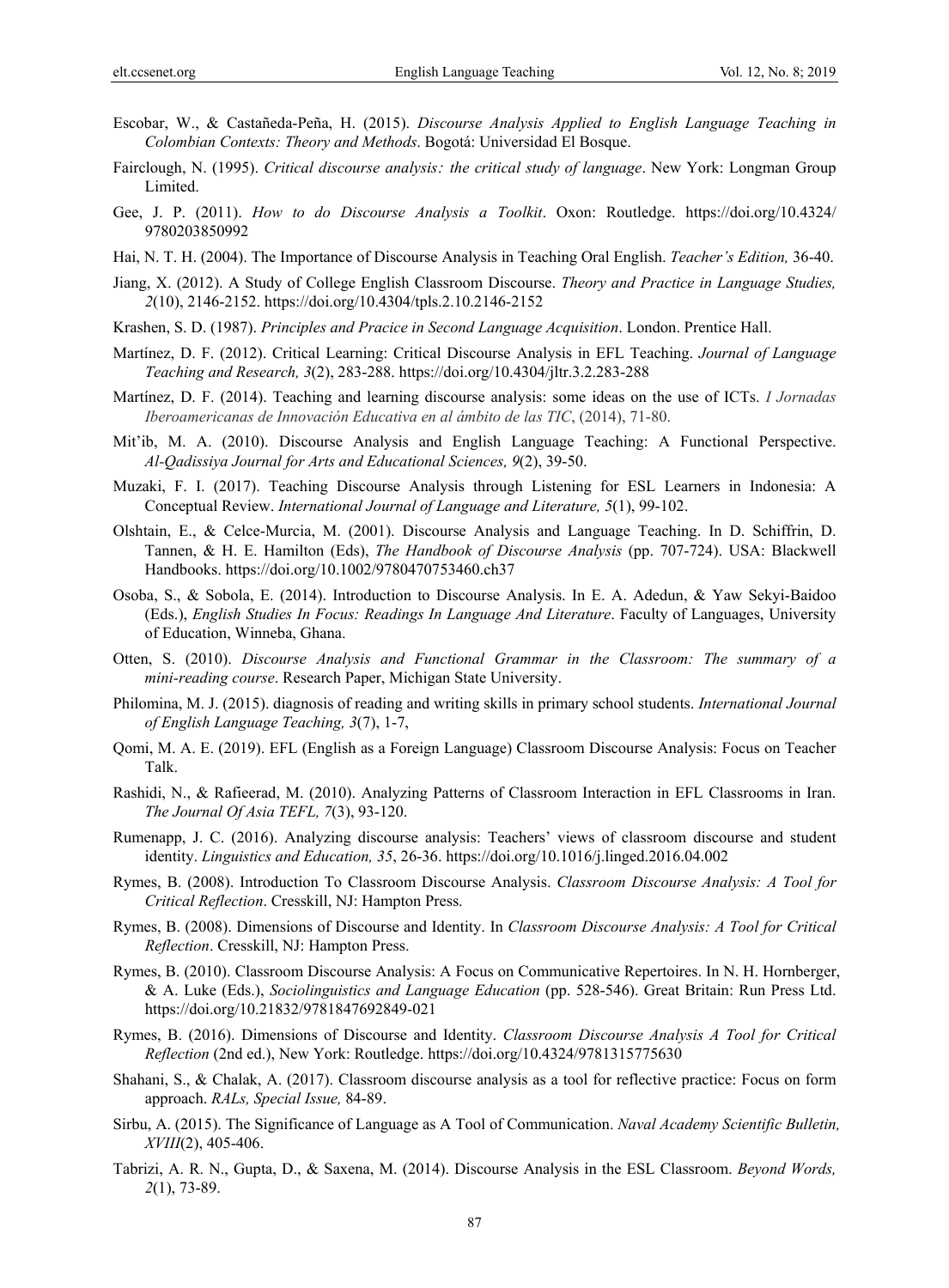- Escobar, W., & Castañeda-Peña, H. (2015). *Discourse Analysis Applied to English Language Teaching in Colombian Contexts: Theory and Methods*. Bogotá: Universidad El Bosque.
- Fairclough, N. (1995). *Critical discourse analysis*: *the critical study of language*. New York: Longman Group Limited.
- Gee, J. P. (2011). *How to do Discourse Analysis a Toolkit*. Oxon: Routledge. https://doi.org/10.4324/ 9780203850992
- Hai, N. T. H. (2004). The Importance of Discourse Analysis in Teaching Oral English. *Teacher's Edition,* 36-40.
- Jiang, X. (2012). A Study of College English Classroom Discourse. *Theory and Practice in Language Studies, 2*(10), 2146-2152. https://doi.org/10.4304/tpls.2.10.2146-2152
- Krashen, S. D. (1987). *Principles and Pracice in Second Language Acquisition*. London. Prentice Hall.
- Martínez, D. F. (2012). Critical Learning: Critical Discourse Analysis in EFL Teaching. *Journal of Language Teaching and Research, 3*(2), 283-288. https://doi.org/10.4304/jltr.3.2.283-288
- Martínez, D. F. (2014). Teaching and learning discourse analysis: some ideas on the use of ICTs. *I Jornadas Iberoamericanas de Innovación Educativa en al ámbito de las TIC*, (2014), 71-80.
- Mit'ib, M. A. (2010). Discourse Analysis and English Language Teaching: A Functional Perspective. *Al-Qadissiya Journal for Arts and Educational Sciences, 9*(2), 39-50.
- Muzaki, F. I. (2017). Teaching Discourse Analysis through Listening for ESL Learners in Indonesia: A Conceptual Review. *International Journal of Language and Literature, 5*(1), 99-102.
- Olshtain, E., & Celce-Murcia, M. (2001). Discourse Analysis and Language Teaching. In D. Schiffrin, D. Tannen, & H. E. Hamilton (Eds), *The Handbook of Discourse Analysis* (pp. 707-724). USA: Blackwell Handbooks. https://doi.org/10.1002/9780470753460.ch37
- Osoba, S., & Sobola, E. (2014). Introduction to Discourse Analysis. In E. A. Adedun, & Yaw Sekyi-Baidoo (Eds.), *English Studies In Focus: Readings In Language And Literature*. Faculty of Languages, University of Education, Winneba, Ghana.
- Otten, S. (2010). *Discourse Analysis and Functional Grammar in the Classroom: The summary of a mini-reading course*. Research Paper, Michigan State University.
- Philomina, M. J. (2015). diagnosis of reading and writing skills in primary school students. *International Journal of English Language Teaching, 3*(7), 1-7,
- Qomi, M. A. E. (2019). EFL (English as a Foreign Language) Classroom Discourse Analysis: Focus on Teacher Talk.
- Rashidi, N., & Rafieerad, M. (2010). Analyzing Patterns of Classroom Interaction in EFL Classrooms in Iran. *The Journal Of Asia TEFL, 7*(3), 93-120.
- Rumenapp, J. C. (2016). Analyzing discourse analysis: Teachers' views of classroom discourse and student identity. *Linguistics and Education, 35*, 26-36. https://doi.org/10.1016/j.linged.2016.04.002
- Rymes, B. (2008). Introduction To Classroom Discourse Analysis. *Classroom Discourse Analysis: A Tool for Critical Reflection*. Cresskill, NJ: Hampton Press.
- Rymes, B. (2008). Dimensions of Discourse and Identity. In *Classroom Discourse Analysis: A Tool for Critical Reflection*. Cresskill, NJ: Hampton Press.
- Rymes, B. (2010). Classroom Discourse Analysis: A Focus on Communicative Repertoires. In N. H. Hornberger, & A. Luke (Eds.), *Sociolinguistics and Language Education* (pp. 528-546). Great Britain: Run Press Ltd. https://doi.org/10.21832/9781847692849-021
- Rymes, B. (2016). Dimensions of Discourse and Identity. *Classroom Discourse Analysis A Tool for Critical Reflection* (2nd ed.), New York: Routledge. https://doi.org/10.4324/9781315775630
- Shahani, S., & Chalak, A. (2017). Classroom discourse analysis as a tool for reflective practice: Focus on form approach. *RALs, Special Issue,* 84-89.
- Sirbu, A. (2015). The Significance of Language as A Tool of Communication. *Naval Academy Scientific Bulletin, XVIII*(2), 405-406.
- Tabrizi, A. R. N., Gupta, D., & Saxena, M. (2014). Discourse Analysis in the ESL Classroom. *Beyond Words, 2*(1), 73-89.